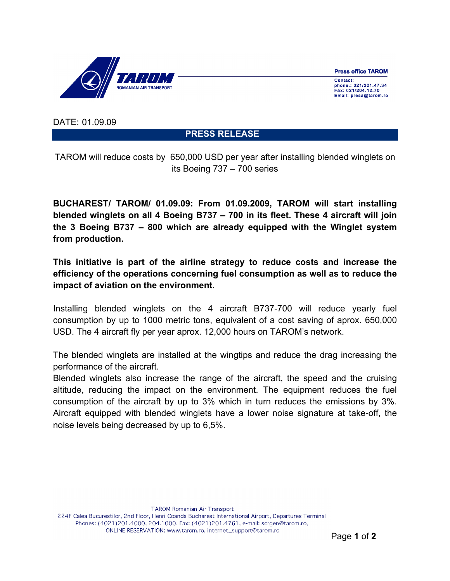**Press office TAROM** 



Contact: phone.: 021/201.47.34 Fax: 021/204.12.70<br>Email: presa@tarom.ro

DATE: 01.09.09

**PRESS RELEASE** 

TAROM will reduce costs by 650,000 USD per year after installing blended winglets on its Boeing 737 – 700 series

**BUCHAREST/ TAROM/ 01.09.09: From 01.09.2009, TAROM will start installing blended winglets on all 4 Boeing B737 – 700 in its fleet. These 4 aircraft will join the 3 Boeing B737 – 800 which are already equipped with the Winglet system from production.**

**This initiative is part of the airline strategy to reduce costs and increase the efficiency of the operations concerning fuel consumption as well as to reduce the impact of aviation on the environment.**

Installing blended winglets on the 4 aircraft B737-700 will reduce yearly fuel consumption by up to 1000 metric tons, equivalent of a cost saving of aprox. 650,000 USD. The 4 aircraft fly per year aprox. 12,000 hours on TAROM's network.

The blended winglets are installed at the wingtips and reduce the drag increasing the performance of the aircraft.

Blended winglets also increase the range of the aircraft, the speed and the cruising altitude, reducing the impact on the environment. The equipment reduces the fuel consumption of the aircraft by up to 3% which in turn reduces the emissions by 3%. Aircraft equipped with blended winglets have a lower noise signature at take-off, the noise levels being decreased by up to 6,5%.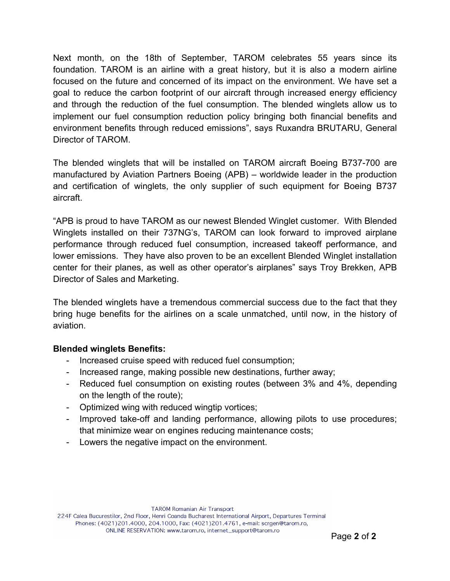Next month, on the 18th of September, TAROM celebrates 55 years since its foundation. TAROM is an airline with a great history, but it is also a modern airline focused on the future and concerned of its impact on the environment. We have set a goal to reduce the carbon footprint of our aircraft through increased energy efficiency and through the reduction of the fuel consumption. The blended winglets allow us to implement our fuel consumption reduction policy bringing both financial benefits and environment benefits through reduced emissions", says Ruxandra BRUTARU, General Director of TAROM.

The blended winglets that will be installed on TAROM aircraft Boeing B737-700 are manufactured by Aviation Partners Boeing (APB) – worldwide leader in the production and certification of winglets, the only supplier of such equipment for Boeing B737 aircraft.

"APB is proud to have TAROM as our newest Blended Winglet customer. With Blended Winglets installed on their 737NG's, TAROM can look forward to improved airplane performance through reduced fuel consumption, increased takeoff performance, and lower emissions. They have also proven to be an excellent Blended Winglet installation center for their planes, as well as other operator's airplanes" says Troy Brekken, APB Director of Sales and Marketing.

The blended winglets have a tremendous commercial success due to the fact that they bring huge benefits for the airlines on a scale unmatched, until now, in the history of aviation.

## **Blended winglets Benefits:**

- Increased cruise speed with reduced fuel consumption;
- Increased range, making possible new destinations, further away;
- Reduced fuel consumption on existing routes (between 3% and 4%, depending on the length of the route);
- Optimized wing with reduced wingtip vortices;
- Improved take-off and landing performance, allowing pilots to use procedures; that minimize wear on engines reducing maintenance costs;
- Lowers the negative impact on the environment.